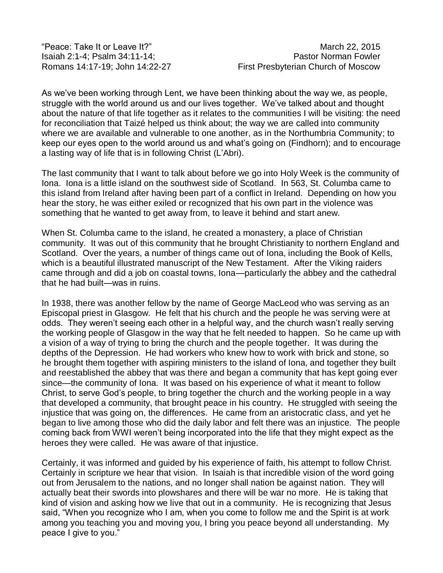"Peace: Take It or Leave It?" March 22, 2015

As we've been working through Lent, we have been thinking about the way we, as people, struggle with the world around us and our lives together. We've talked about and thought about the nature of that life together as it relates to the communities I will be visiting: the need for reconciliation that Taizé helped us think about; the way we are called into community where we are available and vulnerable to one another, as in the Northumbria Community; to keep our eyes open to the world around us and what's going on (Findhorn); and to encourage a lasting way of life that is in following Christ (L'Abri).

The last community that I want to talk about before we go into Holy Week is the community of Iona. Iona is a little island on the southwest side of Scotland. In 563, St. Columba came to this island from Ireland after having been part of a conflict in Ireland. Depending on how you hear the story, he was either exiled or recognized that his own part in the violence was something that he wanted to get away from, to leave it behind and start anew.

When St. Columba came to the island, he created a monastery, a place of Christian community. It was out of this community that he brought Christianity to northern England and Scotland. Over the years, a number of things came out of Iona, including the Book of Kells, which is a beautiful illustrated manuscript of the New Testament. After the Viking raiders came through and did a job on coastal towns, Iona—particularly the abbey and the cathedral that he had built—was in ruins.

In 1938, there was another fellow by the name of George MacLeod who was serving as an Episcopal priest in Glasgow. He felt that his church and the people he was serving were at odds. They weren't seeing each other in a helpful way, and the church wasn't really serving the working people of Glasgow in the way that he felt needed to happen. So he came up with a vision of a way of trying to bring the church and the people together. It was during the depths of the Depression. He had workers who knew how to work with brick and stone, so he brought them together with aspiring ministers to the island of Iona, and together they built and reestablished the abbey that was there and began a community that has kept going ever since—the community of Iona. It was based on his experience of what it meant to follow Christ, to serve God's people, to bring together the church and the working people in a way that developed a community, that brought peace in his country. He struggled with seeing the injustice that was going on, the differences. He came from an aristocratic class, and yet he began to live among those who did the daily labor and felt there was an injustice. The people coming back from WWI weren't being incorporated into the life that they might expect as the heroes they were called. He was aware of that injustice.

Certainly, it was informed and guided by his experience of faith, his attempt to follow Christ. Certainly in scripture we hear that vision. In Isaiah is that incredible vision of the word going out from Jerusalem to the nations, and no longer shall nation be against nation. They will actually beat their swords into plowshares and there will be war no more. He is taking that kind of vision and asking how we live that out in a community. He is recognizing that Jesus said, "When you recognize who I am, when you come to follow me and the Spirit is at work among you teaching you and moving you, I bring you peace beyond all understanding. My peace I give to you."